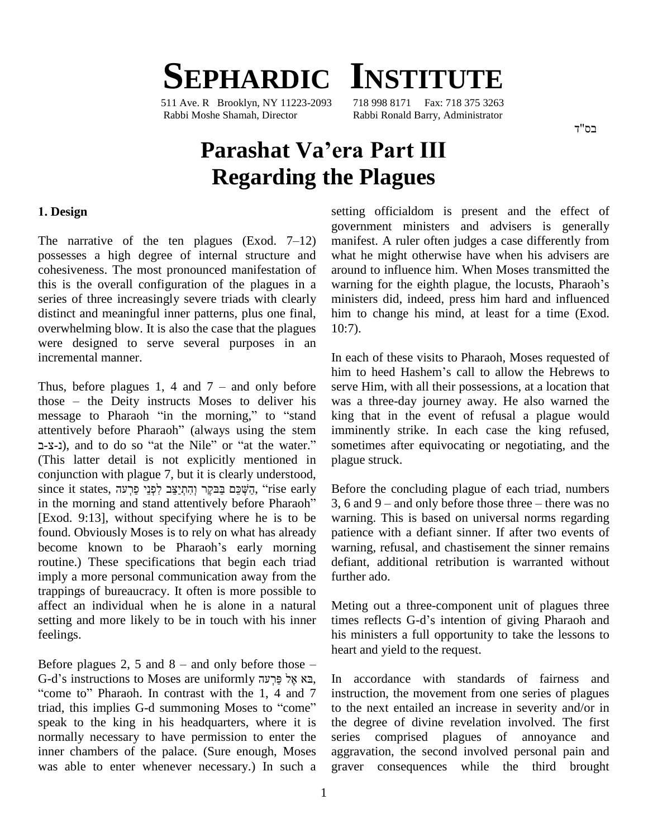# **SEPHARDIC INSTITUTE**

511 Ave. R Brooklyn, NY 11223-2093 718 998 8171 Fax: 718 375 3263 Rabbi Moshe Shamah, Director Rabbi Ronald Barry, Administrator

בס"ד

## **Parashat Vaíera Part III Regarding the Plagues**

### **. Design**

The narrative of the ten plagues (Exod.  $7-12$ ) possesses a high degree of internal structure and cohesiveness. The most pronounced manifestation of this is the overall configuration of the plagues in a warning for the eighth plague, the locusts, Pharaoh's series of three increasingly severe triads with clearly distinct and meaningful inner patterns, plus one final, overwhelming blow. It is also the case that the plagues were designed to serve several purposes in an incremental manner. incremental manner.<br>Thus, before plagues 1, 4 and 7 – and only before serve

tim<br>Thus, before plagues 1, 4 and 7 – and only before server<br>those – the Deity instructs Moses to deliver his was Thus, before plagues 1, 4 and  $7 -$  and only before serve labose  $-$  the Deity instructs Moses to deliver his was a message to Pharaoh "in the morning," to "stand king those – the Deity instructs Moses to deliver his was a three message to Pharaoh "in the morning," to "stand king that attentively before Pharaoh" (always using the stem imminently message to Pharaoh "in the morning," to "stand age to Pharaoh "in the morning," to "stand king<br>tively before Pharaoh" (always using the stem immi<br>), and to do so "at the Nile" or "at the water." some (This latter detail is not explicitly mentioned in conjunction with plague 7, but it is clearly understood, Since it since it shot explicitly mentioned in plague conjunction with plague 7, but it is clearly understood, ince it states, יְקוּתְיַצֵּבּ לְפְנֵי פַּרְעָה ("rise early Before conjunction with plague 7, but it is clearly understood,<br>since it states, הַשְּׁכֵּם בַּבִּקֶר וְהִתְיַצֵּב לִפְנֵי פַרְעה, "rise early Before in the morning and stand attentively before Pharaoh" 3, 6 a [Exod. 9:13], without specifying where he is to be found. Obviously Moses is to rely on what has already [Exod. 9:13], without specifying where he is to be warning<br>found. Obviously Moses is to rely on what has already patien<br>become known to be Pharaoh's early morning warning routine.) These specifications that begin each triad imply a more personal communication away from the trappings of bureaucracy. It often is more possible to affect an individual when he is alone in a natural setting and more likely to be in touch with his inner times reflects G-d's intention of giving Pharaoh and feelings.

Before plagues 2, 5 and  $8 -$  and only before those  $$ ht<br>G-d's instructions to Moses are uniformly פָּר אֶל פַּרְעֹה G-d's instructions to Moses are uniformly efore plagues 2, 5 and 8 – and only before those –<br>
F-d's instructions to Moses are uniformly בא אֶל פַּרְעֹה, In accome to'' Pharaoh. In contrast with the 1, 4 and 7 instructions  $G-d's$  instructions to Moses are uniformly בְּא אֶל פַּרְעָה In a<br>
"come to" Pharaoh. In contrast with the 1, 4 and 7 instructriad, this implies G-d summoning Moses to "come" to the speak to the king in his headquarters, where it is normally necessary to have permission to enter the inner chambers of the palace. (Sure enough, Moses was able to enter whenever necessary.) In such a

setting officialdom is present and the effect of government ministers and advisers is generally manifest. A ruler often judges a case differently from what he might otherwise have when his advisers are<br>around to influence him. When Moses transmitted the<br>warning for the eighth plague, the locusts, Pharaoh's around to influence him. When Moses transmitted the ministers did, indeed, press him hard and influenced him to change his mind, at least for a time (Exod. 10:7).

In each of these visits to Pharaoh, Moses requested of In each of these visits to Pharaoh, Moses requested of<br>him to heed Hashem's call to allow the Hebrews to serve Him, with all their possessions, at a location that was a three-day journey away. He also warned the king that in the event of refusal a plague would imminently strike. In each case the king refused, sometimes after equivocating or negotiating, and the plague struck.

Before the concluding plague of each triad, numbers 3, 6 and  $9 -$  and only before those three  $-$  there was no warning. This is based on universal norms regarding patience with a defiant sinner. If after two events of warning, refusal, and chastisement the sinner remains defiant, additional retribution is warranted without further ado.

Meting out a three-component unit of plagues three Meting out a three-component unit of plagues three<br>times reflects G-d's intention of giving Pharaoh and his ministers a full opportunity to take the lessons to heart and yield to the request.

In accordance with standards of fairness and instruction, the movement from one series of plagues to the next entailed an increase in severity and/or in the degree of divine revelation involved. The first series comprised plagues of annoyance and aggravation, the second involved personal pain and graver consequences while the third brought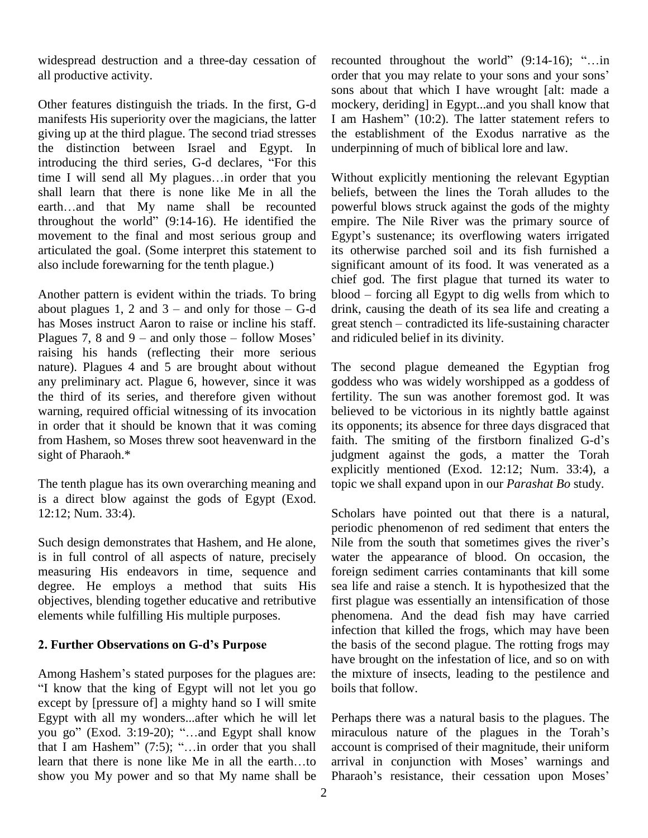widespread destruction and a three-day cessation of all productive activity.

Other features distinguish the triads. In the first, G-d manifests His superiority over the magicians, the latter I am Hashem"  $(10:2)$ . The latter statement refers to giving up at the third plague. The second triad stresses the distinction between Israel and Egypt. In giving up at the third plague. The second triad stresses the distinction between Israel and Egypt. In undertroducing the third series, G-d declares, "For this the distinction between Israel and Egypt. In underprintroducing the third series, G-d declares, "For this time I will send all My plagues...in order that you Witho shall learn that there is none like Me in all the time I will send all My plagues...in order that you shall learn that there is none like Me in all the earth...and that My name shall be recounted throughout the world"  $(9:14-16)$ . He identified the movement to the final and most serious group and Egypt's sustenance; its overflowing waters irrigated articulated the goal. (Some interpret this statement to also include forewarning for the tenth plague.)

chief<br>Another pattern is evident within the triads. To bring blood<br>about plagues 1, 2 and 3 – and only for those – G-d drink, has Moses instruct Aaron to raise or incline his staff. great stench – contradicted its life-sustaining character about plagues 1, 2 and 3 – and only for those  $-G-d$  drinks Moses instruct Aaron to raise or incline his staff. gree Plagues 7, 8 and 9 – and only those – follow Moses' raising his hands (reflecting their more serious nature). Plagues 4 and 5 are brought about without any preliminary act. Plague 6, however, since it was the third of its series, and therefore given without warning, required official witnessing of its invocation in order that it should be known that it was coming from Hashem, so Moses threw soot heavenward in the faith. The smiting of the firstborn finalized G-d's sight of Pharaoh.\*

The tenth plague has its own overarching meaning and is a direct blow against the gods of Egypt (Exod. 12:12; Num. 33:4).

Such design demonstrates that Hashem, and He alone, Nile from the south that sometimes gives the river's is in full control of all aspects of nature, precisely measuring His endeavors in time, sequence and degree. He employs a method that suits His objectives, blending together educative and retributive elements while fulfilling His multiple purposes. **. Further Observations on G-dís Purpose**

2. Further Observations on G-d's Purpose<br>Among Hashem's stated purposes for the plagues are: I know that the king of Egypt will not let you go except by [pressure of] a mighty hand so I will smite Egypt with all my wonders...after which he will let except by [pressure of] a mighty hand so I will smite<br>Egypt with all my wonders...after which he will let Perhaps throu go" (Exod. 3:19-20); "...and Egypt shall know miraculou Egypt with all my wonders...after which he will let Pe<br>you go" (Exod. 3:19-20); "...and Egypt shall know m<br>that I am Hashem" (7:5); "...in order that you shall ac you go" (Exod. 3:19-20); "...and Egypt shall know miracu<br>that I am Hashem" (7:5); "...in order that you shall accoun<br>learn that there is none like Me in all the earth...to arrival show you My power and so that My name shall be Pharaoh's resistance, their cessation upon Moses'

recounted throughout the world"  $(9:14-16)$ ; "...in recounted throughout the world" (9:14-16); "...in<br>order that you may relate to your sons and your sons' sons about that which I have wrought [alt: made a mockery, deriding] in Egypt...and you shall know that I am Hashem" (10:2). The latter statement refers to mockery, deriding] in Egypt...and you shall know that the establishment of the Exodus narrative as the underpinning of much of biblical lore and law.

Another pattern is evident within the triads. To bring blood – forcing all Egypt to dig wells from which to Without explicitly mentioning the relevant Egyptian beliefs, between the lines the Torah alludes to the powerful blows struck against the gods of the mighty empire. The Nile River was the primary source of powerful blows struck against the gods of the mighty<br>empire. The Nile River was the primary source of<br>Egypt's sustenance; its overflowing waters irrigated its otherwise parched soil and its fish furnished a significant amount of its food. It was venerated as a chief god. The first plague that turned its water to significant amount of its food. It was venerated as a<br>chief god. The first plague that turned its water to<br>blood – forcing all Egypt to dig wells from which to drink, causing the death of its sea life and creating a blood – forcing all Egypt to dig wells from which to<br>drink, causing the death of its sea life and creating a<br>great stench – contradicted its life-sustaining character and ridiculed belief in its divinity.

> The second plague demeaned the Egyptian frog goddess who was widely worshipped as a goddess of fertility. The sun was another foremost god. It was believed to be victorious in its nightly battle against<br>its opponents; its absence for three days disgraced that<br>faith. The smiting of the firstborn finalized G-d's its opponents; its absence for three days disgraced that judgment against the gods, a matter the Torah explicitly mentioned (Exod. 12:12; Num. 33:4), a topic we shall expand upon in our *Parashat Bo* study.

Scholars have pointed out that there is a natural, periodic phenomenon of red sediment that enters the Scholars have pointed out that there is a natural,<br>periodic phenomenon of red sediment that enters the<br>Nile from the south that sometimes gives the river's water the appearance of blood. On occasion, the foreign sediment carries contaminants that kill some sea life and raise a stench. It is hypothesized that the first plague was essentially an intensification of those phenomena. And the dead fish may have carried infection that killed the frogs, which may have been the basis of the second plague. The rotting frogs may have brought on the infestation of lice, and so on with the mixture of insects, leading to the pestilence and boils that follow.

Perhaps there was a natural basis to the plagues. The Perhaps there was a natural basis to the plagues. The<br>miraculous nature of the plagues in the Torah's account is comprised of their magnitude, their uniform miraculous nature of the plagues in the Torah's<br>account is comprised of their magnitude, their uniform<br>arrival in conjunction with Moses' warnings and arrival in conjunction with Moses' warnings and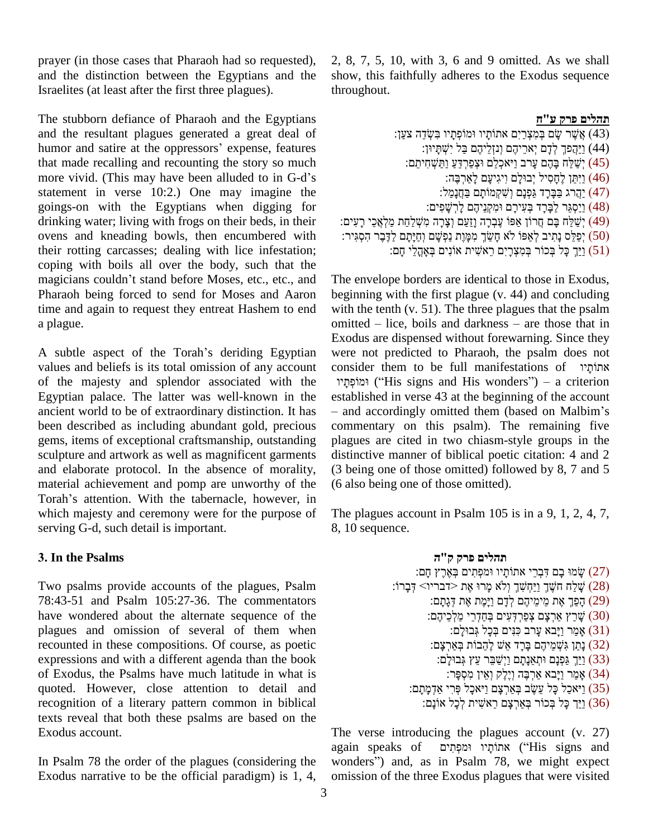prayer (in those cases that Pharaoh had so requested), and the distinction between the Egyptians and the Israelites (at least after the first three plagues).

The stubborn defiance of Pharaoh and the Egyptians and the resultant plagues generated a great deal of The stubborn defiance of Pharaoh and the Egyptians<br>and the resultant plagues generated a great deal of<br>humor and satire at the oppressors' expense, features that made recalling and recounting the story so much humor and satire at the oppressors' expense, features<br>that made recalling and recounting the story so much<br>more vivid. (This may have been alluded to in G-d's statement in verse 10:2.) One may imagine the goings-on with the Egyptians when digging for drinking water; living with frogs on their beds, in their ovens and kneading bowls, then encumbered with their rotting carcasses; dealing with lice infestation;<br>coping with boils all over the body, such that the<br>magicians couldn't stand before Moses, etc., etc., and The er coping with boils all over the body, such that the Pharaoh being forced to send for Moses and Aaron time and again to request they entreat Hashem to end a plague.

values and beliefs is its total omission of any account of the majesty and splendor associated with the Egyptian palace. The latter was well-known in the ancient world to be of extraordinary distinction. It has  $-$  and accordingly omitted them (based on Malbim's been described as including abundant gold, precious gems, items of exceptional craftsmanship, outstanding sculpture and artwork as well as magnificent garments and elaborate protocol. In the absence of morality, material achievement and pomp are unworthy of the (6 als and elaborate protocol. In the absence of morality, (3 bein<br>material achievement and pomp are unworthy of the (6 also<br>Torah's attention. With the tabernacle, however, in which majesty and ceremony were for the purpose of serving G-d, such detail is important.

### **. In the Psalms**

Two psalms provide accounts of the plagues, Psalm 78:43-51 and Psalm 105:27-36. The commentators have wondered about the alternate sequence of the plagues and omission of several of them when recounted in these compositions. Of course, as poetic expressions and with a different agenda than the book of Exodus, the Psalms have much latitude in what is quoted. However, close attention to detail and recognition of a literary pattern common in biblical texts reveal that both these psalms are based on the Exodus account.

In Psalm 78 the order of the plagues (considering the Exodus narrative to be the official paradigm) is 1, 4, 2, 8, 7, 5, 10, with 3, 6 and 9 omitted. As we shall show, this faithfully adheres to the Exodus sequence throughout.

### תהלים פרק ע"ח

| תהלים פרק ע"ח                                                                              |
|--------------------------------------------------------------------------------------------|
| ַ (43) אֲשֶׁר שָׂם בְּמִצְרַיִם אתוֹתָיו וּמוֹפְתָיו בִּשְׂדֵה צַעַן:                      |
| (44) וַיַּהֲפֹּךְ לְדָם יְאֹרֵיהֶם וְנזְלֵיהֶם בַּל יִשְׁתָּיוּן:                          |
| ֹ (45) יְשַׁלֵּח בָּהֶם עָרב וַיֹּאכְלֵם וּצְפַרְדֵּעַ וַתַּשְׁחִיתֵם:                     |
| (46) וַיִּתֵּן לֶחָסִיל יְבוּלָם וִיגִיעָם לָאַרְבֶּהּ:                                    |
| ַהֲרג בַּבָּרָד גַּפְנָם וְשָׁקְמוֹתָם בַּחֲנָמַל: (47)                                    |
| (48) וַיַסְגֵּר לַבָּרָד בְּעִירָם וּמִקְנֵיהֶם לְרְשָׁפִים:                               |
| ַ יְשַׁלַּח בָּם חֲרוֹן אַפּוֹ עֶבְרָה וְזַעַם וְצָרָה מִשְׁלַחַת מַלְאֲכֵי רָעִים:        |
| (50) יְפַלֵּס נָתִיב לְאַפּוֹ לֹא חָשַׂךְ מִמְּוֶת נַפְשָׁם וְחַיָּתָם לַדֶּבֶר הִסְגִּיר: |
| (51) וַיַּךְ כָּל בְּכוֹר בְּמִצְרָיִם רֵאשִׁית אוֹנִים בְּאָהֱלֵי חָם:                    |
|                                                                                            |

a plague.<br>
A subtle aspect of the Torah's deriding Egyptian<br>
A subtle aspect of the Torah's deriding Egyptian<br>
A subtle aspect of the Torah's deriding Egyptian<br>
were not predicted to Pharaoh, the psalm does not The envelope borders are identical to those in Exodus, beginning with the first plague (v.44) and concluding with the tenth (v. 51). The three plagues that the psalm beginning with the first plague  $(v. 44)$  and concluding<br>with the tenth  $(v. 51)$ . The three plagues that the psalm<br>omitted – lice, boils and darkness – are those that in Exodus are dispensed without forewarning. Since they were not predicted to Pharaoh, the psalm does not consider they were not predicted to Pharaoh, the psalm does not consider them to be full manifestations of אתוֹתָיו t predicted to Pharaoh, the psalm does not<br>hem to be full manifestations of אתוֹתָלוּ<br>("His signs and His wonders") – a criterion established in verse <sup>43</sup> at the beginning of the account <sup>ñ</sup> and accordingly omitted them (based on Malbimí<sup>s</sup> commentary on this psalm). The remaining five plagues are cited in two chiasm-style groups in the distinctive manner of biblical poetic citation: 4 and 2 (3 being one of those omitted) followed by 8, 7 and 5 (6 also being one of those omitted).

> The plagues account in Psalm 105 is in a 9, 1, 2, 4, 7, 8, 10 sequence.

### תהלים פרק ק"ה ת**הלים פרק ק"ה**<br>עְשׂמוּ בָם דִּבְרֵי אתוֹתָיו וּמִפְתִים בְאֶרֶץ ז'<br>עֲמוּ בָם דִּבְרֵי אתוֹתָיו וּמִפְתִים בְּאֶרֶץ ז') **תהלים פרק ק''ה**<br>עֲשׂוּ בָם דִּבְרֵי אתוֹתָיו וּמפְתִים בְּאֶרֶץ חָם (27)<br>∕שְׂלֵח חִשֶּׁךָ וַיַּחְשִׁךְ וָלֹא מָרוּ אֶת <דבריו≻ (28) עֹמִ עֲמוּ בָם דִּבְרֵי אתוֹתָיו וּמִפְתִּים)<br>שָׁלַח חִשֶׁךָ וַיַּחְשִׁךְ וְלֹא מָרוּ אֶת)<br>פַרֵּךְ אֶת מֵימֵיהֶם לְדָם וַיָּמֶת אֶת) עֲלֵח חִשֶּׁךָ וַיַּחְשִׁךְ וְלֹא מְרוּ אֶת ≺דבריו)<br>(29) הָפַךְ אֶת מֵימֵיהֶם לְדָם וַיָּמֶת אֶת דְּגָתָם:<br>שְׁרַץ אַרְצָם צְפַרְדָּעִים בְּחַדְרֵי מַלְכֵיהֶם: (30) ָרָפַךְ אֶת מֵימֵיהֶם לְדָם וַיָּמֶת אֶת דְּ<br>עֲרַץ אַרְצָם צְפַרְדְעִים בְּחַדְרֵי מַלְן)<br>אֲמֵר וַיָּבֹא עָרב כִּנִּים בְּכָל גְּבוּלָם: (31) ָשׁרַץ אַרִצָּם צְפַרִדְּעִים בְּחַדְרֵי מַלְכֵיהֶם: (30 ְשְׁרֵץ אַרְצָם צְפַרְדָעִים בְּחַדְרֵי)<br>אָמַר וַיָּבֹא עָרב כִּנִּים בְּכָל גְּבו<br>(32) נָתַן גִּשְׁמֵיהֶם בָּרָד אֵשׁ לֶהַבוֹת) ֹ(31) אָמַר וַיָּבֹא עָרֹב כִּנִּיִם בְּכָל גְּבוּלָם:<br>(32) נָתַן גִּשְׁמֵיהֶם בָּרָד אֵשׁ לֶהַבוֹת בְּאַרְצָנ<br>(33) וַיַּךְ גַּפְנָם וּתְאֵנָתָם וַיְשַׁבֵּר עֵץ גְּבוּלָם: ָלָמ) נָתַן גִּשְׁמֵיהֶם בָּרָד אֵשׁ לֶהַבוֹת בְּאַךְ<br>(33) וַיַּךְ גַּפְנָם וּתְאַנָתָם וַיְשַׁבֵּר עֵץ גְּבוּלָ<br>אֲמֵר וַיָּבא אַרְבֶּה וְיֵלֶק וְאֵין מִסְפָּר: ֹרַ $\frac{1}{2}$ ֹּיַרְ גַּפְנָם וּתְאֵנָתָם וַיְשַׁבֵר עֵץ גְּבוּלָם:<br>(34) אָמַר וַיָּבא אַרְבֶּה וְיָלֶק וְאֵין מִסְפָּר:<br>(35) וַיֹּאכַל כָּל עֵשֶׂב בְּאַרְצָם וַיֹּאכָל פְּרִי אַדְמָתָם: (34) אָמַר וַיָּבא אַרְבֶּה וְיָלֶק וְאֵין מִסְפָּר:<br>(35) וַיֹּאכַל כָּל עֵשֶׂב בְּאַרְצָם וַיֹּאכָל פְּרִי אַדְמָתָם:<br>(36) וַיַּךְ כַּל בִּכוֹר בִּאֲרִצַם רֵאשִׁית לְכַל אוֹנֵם:

The verse introducing the plagues account (v. 27) The verse introducing the plagues account (v. 27)<br>again speaks of מִפְתִּים (''His signs and  $\alpha$ gain speaks of אתוֹתָיו וּמִכְּתִים ("His signs and wonders") and, as in Psalm 78, we might expect omission of the three Exodus plagues that were visited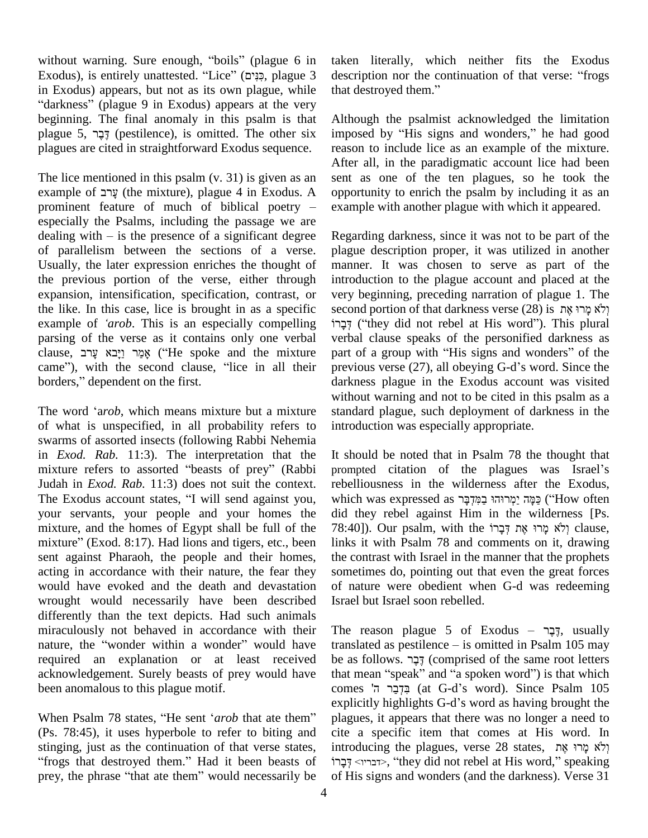without warning. Sure enough, "boils" (plague 6 in taken without warning. Sure enough, "boils" (plague 6 in taken<br>Exodus), is entirely unattested. "Lice" (כִּנִּים, plague 3 descri without warning. Sure enough, "boils" (plague 6 in taken<br>Exodus), is entirely unattested. "Lice" (פְּנִים, plague 3 descr<br>in Exodus) appears, but not as its own plague, while that d Exodus), is entirely unattested. "Lice" (בְּנִים, plague 3 dixodus), is entirely unattested. "Lice" (פְּנִים, plague 3 description Exodus) appears, but not as its own plague, while that de darkness" (plague 9 in Exodus) appears at the very beginning. The final anomaly in this psalm is that "darkness" (plague 9 in Exodus) appears at the very beginning. The final anomaly in this psalm is that plague 5,  $\frac{1}{2}$  (pestilence), is omitted. The other six plagues are cited in straightforward Exodus sequence.

The lice mentioned in this psalm (v. 31) is given as an Fre lice mentioned in this psalm (v. 31) is given as an sent as contained in this psalm (v. 31) is given as an sent as containing the mixture), plague 4 in Exodus. A opportunity Fhe lice mentioned in this psalm  $(v, 31)$  is given as an sent and example of  $\gamma$  (the mixture), plague 4 in Exodus. A opport prominent feature of much of biblical poetry – examp especially the Psalms, including the passage we are prominent feature of much of biblical poetry – exam<br>especially the Psalms, including the passage we are<br>dealing with – is the presence of a significant degree Rega of parallelism between the sections of a verse. Usually, the later expression enriches the thought of the previous portion of the verse, either through expansion, intensification, specification, contrast, or the like. In this case, lice is brought in as a specific expansion, intensification, specification, contrast, or very b<br>the like. In this case, lice is brought in as a specific seconor<br>example of *'arob*. This is an especially compelling יְּבָרוֹ parsing of the verse as it contains only one verbal example of *'arob*. This is an especially compelling קָבָרוֹ<br>parsing of the verse as it contains only one verbal verba<br>clause, אֲמֵר וַיָּבֹא עָרב ("He spoke and the mixture part parsing of the verse as it contains only one verbal ver<br>clause, אֲמֵר וַיָּבֹא עָרב (He spoke and the mixture par<br>came"), with the second clause, "lice in all their pre clause, אֲמֵר וַיָּבֹא עָרב ("He spoke came"), with the second clause,<br>borders," dependent on the first. borders," dependent on the first.<br>The word 'arob, which means mixture but a mixture

of what is unspecified, in all probability refers to swarms of assorted insects (following Rabbi Nehemia in *Exod. Rab.* 11:3). The interpretation that the swarms of assorted insects (following Rabbi Nehemia<br>in *Exod. Rab.* 11:3). The interpretation that the It<br>mixture refers to assorted "beasts of prey" (Rabbi pr Judah in *Exod. Rab.* 11:3) does not suit the context. mixture refers to assorted "beasts of prey" (Rabbi prompted citation of the plagues was Israel's Judah in *Exod. Rab.* 11:3) does not suit the context. rebelliousness in the wilderness after the Exodus, The Exodus account your servants, your people and your homes the mixture, and the homes of Egypt shall be full of the 78:40 your servants, your people and your homes the did the mixture, and the homes of Egypt shall be full of the 78:40<br>mixture" (Exod. 8:17). Had lions and tigers, etc., been links sent against Pharaoh, the people and their homes, acting in accordance with their nature, the fear they would have evoked and the death and devastation wrought would necessarily have been described differently than the text depicts. Had such animals<br>miraculously not behaved in accordance with their The<br>nature, the "wonder within a wonder" would have trans. miraculously not behaved in accordance with their required an explanation or at least received acknowledgement. Surely beasts of prey would have been anomalous to this plague motif.

(Ps. 78:45), it uses hyperbole to refer to biting and cite a stinging, just as the continuation of that verse states, introd Ps. 78:45), it uses hyperbole to refer to biting and cite tinging, just as the continuation of that verse states, introrps that destroyed them." Had it been beasts of  $\overrightarrow{P}$ stinging, just as the continuation of that verse states, intro<br>
"frogs that destroyed them." Had it been beasts of יְבָרוֹ<br>
prey, the phrase "that ate them" would necessarily be of Hi

taken literally, which neither fits the Exodus taken literally, which neither fits the Exodus<br>description nor the continuation of that verse: "frogs taken literally, which net<br>description nor the continuat<br>that destroyed them."

Although the psalmist acknowledged the limitation imposed by "His signs and wonders," he had good reason to include lice as an example of the mixture. After all, in the paradigmatic account lice had been sent as one of the ten plagues, so he took the opportunity to enrich the psalm by including it as an example with another plague with which it appeared.

Regarding darkness, since it was not to be part of the plague description proper, it was utilized in another manner. It was chosen to serve as part of the introduction to the plague account and placed at the very beginning, preceding narration of plague 1. The introduction to the plague account and placed at the<br>very beginning, preceding narration of plague 1. The<br>יְלֹא מָרוּ אֶת מֻן ׂוֹצ beginning, preceding narration of plague 1. The<br>וְלֹא מָרוּ אֶת (28) is אֲלוֹ portion of that darkness verse (28) is וְלֹא מָרוּ אֶת verbal clause speaks of the personified darkness as דְּבָרוֹ ("they did not rebel at His word"). This plural<br>verbal clause speaks of the personified darkness as<br>part of a group with "His signs and wonders" of the verbal clause speaks of the personified darkness as<br>part of a group with "His signs and wonders" of the<br>previous verse (27), all obeying G-d's word. Since the darkness plague in the Exodus account was visited without warning and not to be cited in this psalm as a standard plague, such deployment of darkness in the introduction was especially appropriate.

It should be noted that in Psalm 78 the thought that It should be noted that in Psalm 78 the thought that<br>prompted citation of the plagues was Israel's rebelliousness in the wilderness after the Exodus, prompted citation of the plagues was Israel's<br>rebelliousness in the wilderness after the Exodus,<br>שִׁכְּמָּה יַמְרוּהוּ בַמִּדְבָּר as שׁמַר ('How often') (אֲבָּה יַמְרוּהוּ בַמִּדְבָּר did they rebel against Him in the wilderness [Ps. עַמָּה יַמְרוּהוּ בַמִּדְבָּר ("How often<br>did they rebel against Him in the wilderness [Ps.<br>78:40]). Our psalm, with the קָבָרוֹ אֶת דְּבָרוֹ clause, links it with Psalm 78 and comments on it, drawing the contrast with Israel in the manner that the prophets sometimes do, pointing out that even the great forces of nature were obedient when G-d was redeeming Israel but Israel soon rebelled.

been anomalous to this plague motif.<br>
explicitly highlights G-d's word). Since Psalm 105<br>
explicitly highlights G-d's word as having brought the<br>
When Psalm 78 states, "He sent '*arob* that ate them" plagues, it appears t The reason plague 5 of Exodus –  $\overline{z}$ רֵבְר $\overline{z}$ , usually  $\begin{array}{lcl} \text{The reason place 5 of Exodus} & -\frac{1}{2} \text{?} \text{ usually} \\ \text{translated as pestilence} & -\text{ is omitted in Psalm 105 may} \end{array}$ The reason plague 5 of Exodus – בֶּלֶר, usually translated as pestilence – is omitted in Psalm 105 may<br>be as follows. בֶּלֶר (comprised of the same root letters translated as pestilence – is omitted in Psalm 105 may<br>be as follows. בֶּבֶר (comprised of the same root letters<br>that mean "speak" and "a spoken word") is that which be as follows. בֶּבֶר (comprised of the same root letters that mean "speak" and "a spoken word") is that which<br>comes "בִּדְּבֵר הּ" (at G-d's word). Since Psalm 105 be as follows. דְּבָר (comprised of the same root letters) that mean "speak" and "a spoken word") is that which<br>comes "בִּדְבֵּר (at G-d's word). Since Psalm 105<br>explicitly highlights G-d's word as having brought the plagues, it appears that there was no longer a need to cite a specific item that comes at His word. In plagues, it appears that there was no longer a need to<br>cite a specific item that comes at His word. In<br>introducing the plagues, verse 28 states, וְלֹא מָרוּ אֶת cite a specific item that comes at His word. In<br>וְלֹא מְרוּ אֶת, Yerse 28 states, וְלֹא מְרוּ אֶת<br>דבריו> , "they did not rebel at His word," speaking of His signs and wonders (and the darkness). Verse 31